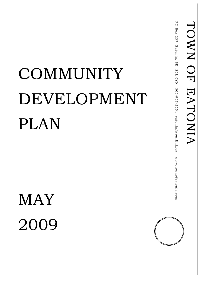## **COMMUNITY** DEVELOPMENT PLAN

**MAY** 2009 PO Box 237, Eatonia, SK S0L 0Y0 306-967-2251 eatonia@yourlink.ca PO Box 237, Eatonia, SK S0L 0Y0 306-967-2251 eatonia@yourlink.ca www.townofeatonia.com www.townofeatonia.com

[TOWN OF EATO](mailto:eatonia@yourlink.ca)NIA

TOWN OF EATONIA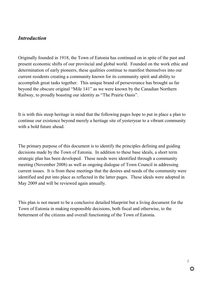## *Introduction*

Originally founded in 1918, the Town of Eatonia has continued on in spite of the past and present economic shifts of our provincial and global world. Founded on the work ethic and determination of early pioneers, these qualities continue to manifest themselves into our current residents creating a community known for its community spirit and ability to accomplish great tasks together. This unique brand of perseverance has brought us far beyond the obscure original "Mile 141" as we were known by the Canadian Northern Railway, to proudly boasting our identity as "The Prairie Oasis".

It is with this steep heritage in mind that the following pages hope to put in place a plan to continue our existence beyond merely a heritage site of yesteryear to a vibrant community with a bold future ahead.

The primary purpose of this document is to identify the principles defining and guiding decisions made by the Town of Eatonia. In addition to these base ideals, a short term strategic plan has been developed. These needs were identified through a community meeting (November 2008) as well as ongoing dialogue of Town Council in addressing current issues. It is from these meetings that the desires and needs of the community were identified and put into place as reflected in the latter pages. These ideals were adopted in May 2009 and will be reviewed again annually.

This plan is not meant to be a conclusive detailed blueprint but a living document for the Town of Eatonia in making responsible decisions, both fiscal and otherwise, to the betterment of the citizens and overall functioning of the Town of Eatonia.

 $\circledcirc$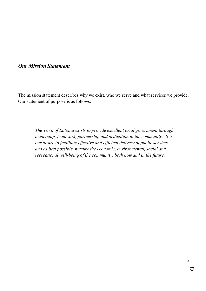## *Our Mission Statement*

The mission statement describes why we exist, who we serve and what services we provide. Our statement of purpose is as follows:

*The Town of Eatonia exists to provide excellent local government through leadership, teamwork, partnership and dedication to the community. It is our desire to facilitate effective and efficient delivery of public services and as best possible, nurture the economic, environmental, social and recreational well-being of the community, both now and in the future.* 

 $\circledcirc$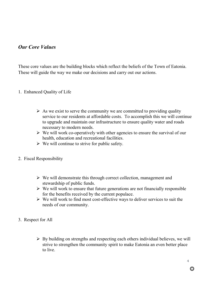## *Our Core Values*

These core values are the building blocks which reflect the beliefs of the Town of Eatonia. These will guide the way we make our decisions and carry out our actions.

- 1. Enhanced Quality of Life
	- $\triangleright$  As we exist to serve the community we are committed to providing quality service to our residents at affordable costs. To accomplish this we will continue to upgrade and maintain our infrastructure to ensure quality water and roads necessary to modern needs.
	- $\triangleright$  We will work co-operatively with other agencies to ensure the survival of our health, education and recreational facilities.
	- $\triangleright$  We will continue to strive for public safety.
- 2. Fiscal Responsibility
	- $\triangleright$  We will demonstrate this through correct collection, management and stewardship of public funds.
	- $\triangleright$  We will work to ensure that future generations are not financially responsible for the benefits received by the current populace.
	- $\triangleright$  We will work to find most cost-effective ways to deliver services to suit the needs of our community.
- 3. Respect for All
	- $\triangleright$  By building on strengths and respecting each others individual believes, we will strive to strengthen the community spirit to make Eatonia an even better place to live.